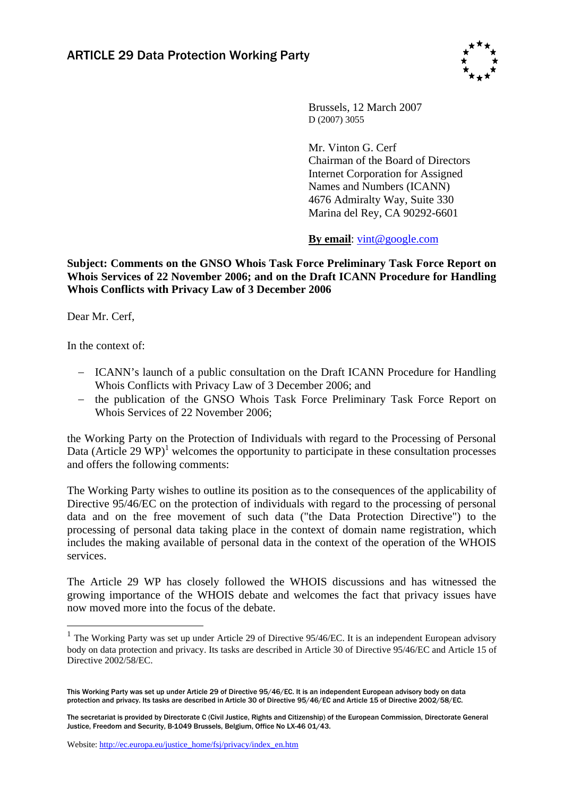

Brussels, 12 March 2007 D (2007) 3055

Mr. Vinton G. Cerf Chairman of the Board of Directors Internet Corporation for Assigned Names and Numbers (ICANN) 4676 Admiralty Way, Suite 330 Marina del Rey, CA 90292-6601

**By email**[: vint@google.com](mailto:vint@google.com) 

**Subject: Comments on the GNSO Whois Task Force Preliminary Task Force Report on Whois Services of 22 November 2006; and on the Draft ICANN Procedure for Handling Whois Conflicts with Privacy Law of 3 December 2006** 

Dear Mr. Cerf,

In the context of:

 $\overline{a}$ 

- − ICANN's launch of a public consultation on the Draft ICANN Procedure for Handling Whois Conflicts with Privacy Law of 3 December 2006; and
- − the publication of the GNSO Whois Task Force Preliminary Task Force Report on Whois Services of 22 November 2006;

the Working Party on the Protection of Individuals with regard to the Processing of Personal Data (Article 29  $\text{WP}$ )<sup>1</sup> welcomes the opportunity to participate in these consultation processes and offers the following comments:

The Working Party wishes to outline its position as to the consequences of the applicability of Directive 95/46/EC on the protection of individuals with regard to the processing of personal data and on the free movement of such data ("the Data Protection Directive") to the processing of personal data taking place in the context of domain name registration, which includes the making available of personal data in the context of the operation of the WHOIS services.

The Article 29 WP has closely followed the WHOIS discussions and has witnessed the growing importance of the WHOIS debate and welcomes the fact that privacy issues have now moved more into the focus of the debate.

 $1$  The Working Party was set up under Article 29 of Directive 95/46/EC. It is an independent European advisory body on data protection and privacy. Its tasks are described in Article 30 of Directive 95/46/EC and Article 15 of Directive 2002/58/EC.

This Working Party was set up under Article 29 of Directive 95/46/EC. It is an independent European advisory body on data protection and privacy. Its tasks are described in Article 30 of Directive 95/46/EC and Article 15 of Directive 2002/58/EC.

The secretariat is provided by Directorate C (Civil Justice, Rights and Citizenship) of the European Commission, Directorate General Justice, Freedom and Security, B-1049 Brussels, Belgium, Office No LX-46 01/43.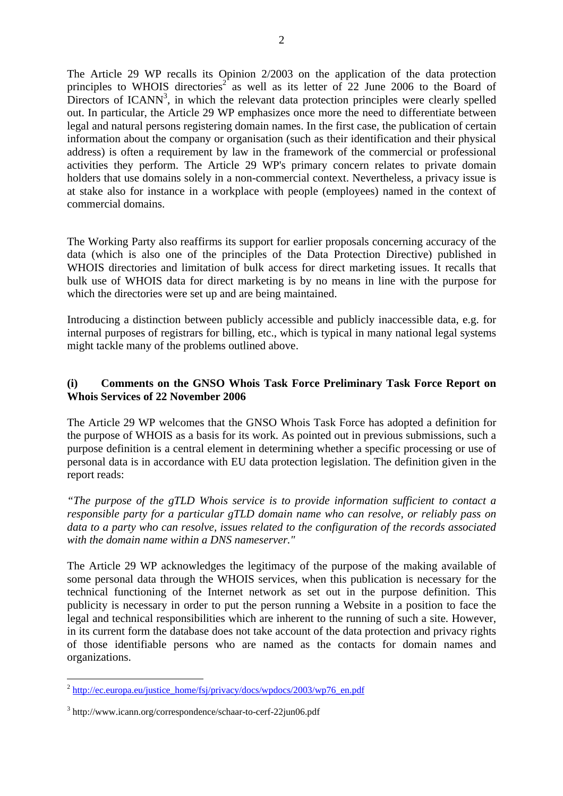The Article 29 WP recalls its Opinion 2/2003 on the application of the data protection principles to WHOIS directories<sup>2</sup> as well as its letter of 22 June 2006 to the Board of Directors of ICANN<sup>3</sup>, in which the relevant data protection principles were clearly spelled out. In particular, the Article 29 WP emphasizes once more the need to differentiate between legal and natural persons registering domain names. In the first case, the publication of certain information about the company or organisation (such as their identification and their physical address) is often a requirement by law in the framework of the commercial or professional activities they perform. The Article 29 WP's primary concern relates to private domain holders that use domains solely in a non-commercial context. Nevertheless, a privacy issue is at stake also for instance in a workplace with people (employees) named in the context of commercial domains.

The Working Party also reaffirms its support for earlier proposals concerning accuracy of the data (which is also one of the principles of the Data Protection Directive) published in WHOIS directories and limitation of bulk access for direct marketing issues. It recalls that bulk use of WHOIS data for direct marketing is by no means in line with the purpose for which the directories were set up and are being maintained.

Introducing a distinction between publicly accessible and publicly inaccessible data, e.g. for internal purposes of registrars for billing, etc., which is typical in many national legal systems might tackle many of the problems outlined above.

## **(i) Comments on the GNSO Whois Task Force Preliminary Task Force Report on Whois Services of 22 November 2006**

The Article 29 WP welcomes that the GNSO Whois Task Force has adopted a definition for the purpose of WHOIS as a basis for its work. As pointed out in previous submissions, such a purpose definition is a central element in determining whether a specific processing or use of personal data is in accordance with EU data protection legislation. The definition given in the report reads:

*"The purpose of the gTLD Whois service is to provide information sufficient to contact a responsible party for a particular gTLD domain name who can resolve, or reliably pass on data to a party who can resolve, issues related to the configuration of the records associated with the domain name within a DNS nameserver."* 

The Article 29 WP acknowledges the legitimacy of the purpose of the making available of some personal data through the WHOIS services, when this publication is necessary for the technical functioning of the Internet network as set out in the purpose definition. This publicity is necessary in order to put the person running a Website in a position to face the legal and technical responsibilities which are inherent to the running of such a site. However, in its current form the database does not take account of the data protection and privacy rights of those identifiable persons who are named as the contacts for domain names and organizations.

 $\overline{a}$ 

 $^{2}$  [http://ec.europa.eu/justice\\_home/fsj/privacy/docs/wpdocs/2003/wp76\\_en.pdf](http://ec.europa.eu/justice_home/fsj/privacy/docs/wpdocs/2003/wp76_en.pdf)

<sup>3</sup> http://www.icann.org/correspondence/schaar-to-cerf-22jun06.pdf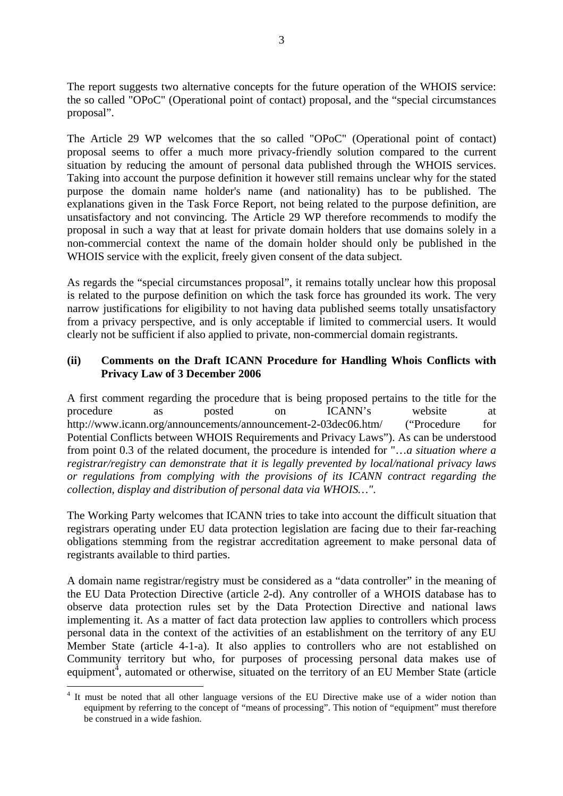The report suggests two alternative concepts for the future operation of the WHOIS service: the so called "OPoC" (Operational point of contact) proposal, and the "special circumstances proposal".

The Article 29 WP welcomes that the so called "OPoC" (Operational point of contact) proposal seems to offer a much more privacy-friendly solution compared to the current situation by reducing the amount of personal data published through the WHOIS services. Taking into account the purpose definition it however still remains unclear why for the stated purpose the domain name holder's name (and nationality) has to be published. The explanations given in the Task Force Report, not being related to the purpose definition, are unsatisfactory and not convincing. The Article 29 WP therefore recommends to modify the proposal in such a way that at least for private domain holders that use domains solely in a non-commercial context the name of the domain holder should only be published in the WHOIS service with the explicit, freely given consent of the data subject.

As regards the "special circumstances proposal", it remains totally unclear how this proposal is related to the purpose definition on which the task force has grounded its work. The very narrow justifications for eligibility to not having data published seems totally unsatisfactory from a privacy perspective, and is only acceptable if limited to commercial users. It would clearly not be sufficient if also applied to private, non-commercial domain registrants.

## **(ii) Comments on the Draft ICANN Procedure for Handling Whois Conflicts with Privacy Law of 3 December 2006**

A first comment regarding the procedure that is being proposed pertains to the title for the procedure as posted on ICANN's website at http://www.icann.org/announcements/announcement-2-03dec06.htm/ ("Procedure for Potential Conflicts between WHOIS Requirements and Privacy Laws"). As can be understood from point 0.3 of the related document, the procedure is intended for "…*a situation where a registrar/registry can demonstrate that it is legally prevented by local/national privacy laws or regulations from complying with the provisions of its ICANN contract regarding the collection, display and distribution of personal data via WHOIS…"*.

The Working Party welcomes that ICANN tries to take into account the difficult situation that registrars operating under EU data protection legislation are facing due to their far-reaching obligations stemming from the registrar accreditation agreement to make personal data of registrants available to third parties.

A domain name registrar/registry must be considered as a "data controller" in the meaning of the EU Data Protection Directive (article 2-d). Any controller of a WHOIS database has to observe data protection rules set by the Data Protection Directive and national laws implementing it. As a matter of fact data protection law applies to controllers which process personal data in the context of the activities of an establishment on the territory of any EU Member State (article 4-1-a). It also applies to controllers who are not established on Community territory but who, for purposes of processing personal data makes use of equipment<sup> $4$ </sup>, automated or otherwise, situated on the territory of an EU Member State (article

 $\overline{a}$ 

<sup>&</sup>lt;sup>4</sup> It must be noted that all other language versions of the EU Directive make use of a wider notion than equipment by referring to the concept of "means of processing". This notion of "equipment" must therefore be construed in a wide fashion.